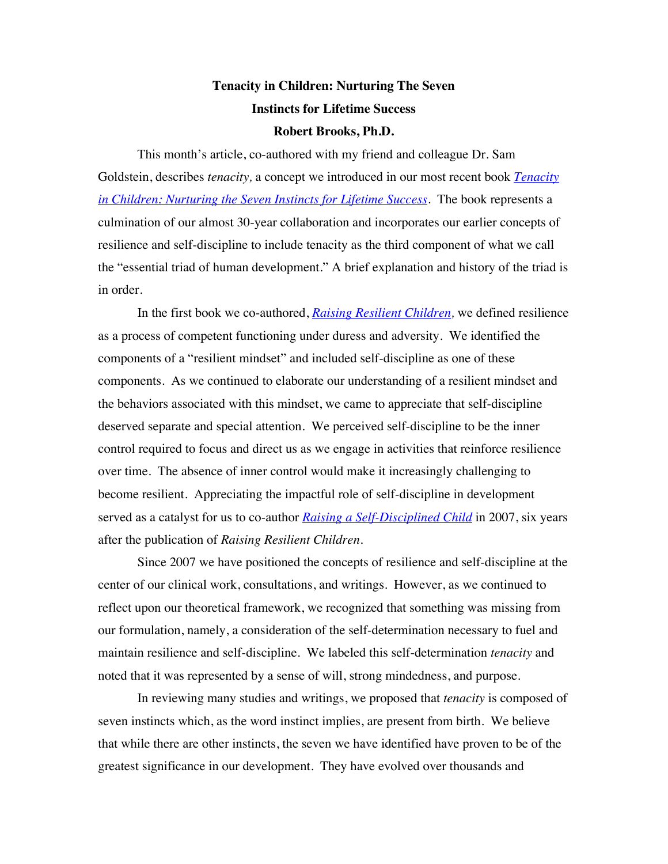# **Tenacity in Children: Nurturing The Seven Instincts for Lifetime Success Robert Brooks, Ph.D.**

This month's article, co-authored with my friend and colleague Dr. Sam Goldstein, describes *tenacity,* a concept we introduced in our most recent book *Tenacity in Children: Nurturing the Seven Instincts for Lifetime Success.* The book represents a culmination of our almost 30-year collaboration and incorporates our earlier concepts of resilience and self-discipline to include tenacity as the third component of what we call the "essential triad of human development." A brief explanation and history of the triad is in order.

In the first book we co-authored, *Raising Resilient Children,* we defined resilience as a process of competent functioning under duress and adversity. We identified the components of a "resilient mindset" and included self-discipline as one of these components. As we continued to elaborate our understanding of a resilient mindset and the behaviors associated with this mindset, we came to appreciate that self-discipline deserved separate and special attention. We perceived self-discipline to be the inner control required to focus and direct us as we engage in activities that reinforce resilience over time. The absence of inner control would make it increasingly challenging to become resilient. Appreciating the impactful role of self-discipline in development served as a catalyst for us to co-author *Raising a Self-Disciplined Child* in 2007, six years after the publication of *Raising Resilient Children.* 

Since 2007 we have positioned the concepts of resilience and self-discipline at the center of our clinical work, consultations, and writings. However, as we continued to reflect upon our theoretical framework, we recognized that something was missing from our formulation, namely, a consideration of the self-determination necessary to fuel and maintain resilience and self-discipline. We labeled this self-determination *tenacity* and noted that it was represented by a sense of will, strong mindedness, and purpose.

In reviewing many studies and writings, we proposed that *tenacity* is composed of seven instincts which, as the word instinct implies, are present from birth. We believe that while there are other instincts, the seven we have identified have proven to be of the greatest significance in our development. They have evolved over thousands and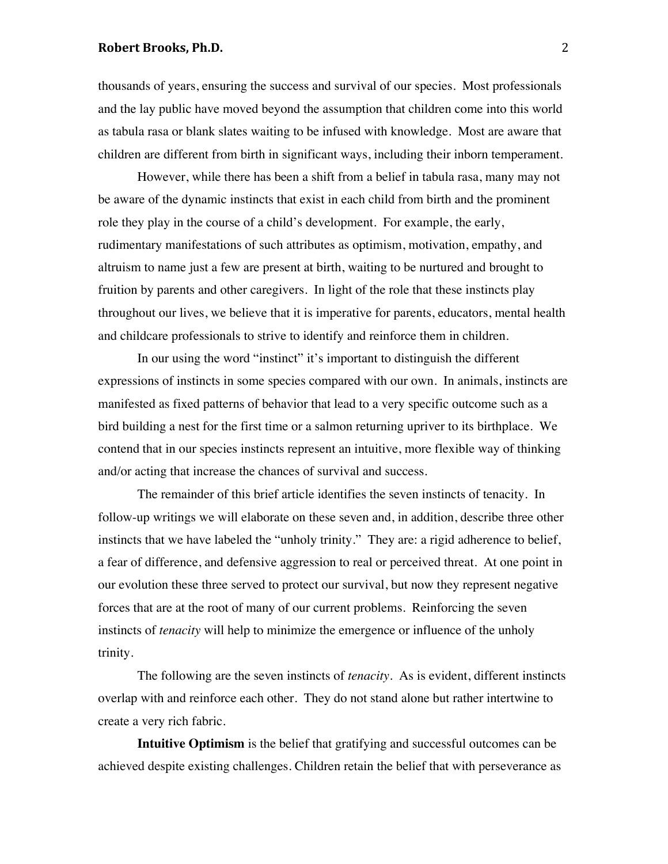## **Robert Brooks, Ph.D.** 2

thousands of years, ensuring the success and survival of our species. Most professionals and the lay public have moved beyond the assumption that children come into this world as tabula rasa or blank slates waiting to be infused with knowledge. Most are aware that children are different from birth in significant ways, including their inborn temperament.

However, while there has been a shift from a belief in tabula rasa, many may not be aware of the dynamic instincts that exist in each child from birth and the prominent role they play in the course of a child's development. For example, the early, rudimentary manifestations of such attributes as optimism, motivation, empathy, and altruism to name just a few are present at birth, waiting to be nurtured and brought to fruition by parents and other caregivers. In light of the role that these instincts play throughout our lives, we believe that it is imperative for parents, educators, mental health and childcare professionals to strive to identify and reinforce them in children.

In our using the word "instinct" it's important to distinguish the different expressions of instincts in some species compared with our own. In animals, instincts are manifested as fixed patterns of behavior that lead to a very specific outcome such as a bird building a nest for the first time or a salmon returning upriver to its birthplace. We contend that in our species instincts represent an intuitive, more flexible way of thinking and/or acting that increase the chances of survival and success.

The remainder of this brief article identifies the seven instincts of tenacity. In follow-up writings we will elaborate on these seven and, in addition, describe three other instincts that we have labeled the "unholy trinity." They are: a rigid adherence to belief, a fear of difference, and defensive aggression to real or perceived threat. At one point in our evolution these three served to protect our survival, but now they represent negative forces that are at the root of many of our current problems. Reinforcing the seven instincts of *tenacity* will help to minimize the emergence or influence of the unholy trinity.

The following are the seven instincts of *tenacity*. As is evident, different instincts overlap with and reinforce each other. They do not stand alone but rather intertwine to create a very rich fabric.

**Intuitive Optimism** is the belief that gratifying and successful outcomes can be achieved despite existing challenges. Children retain the belief that with perseverance as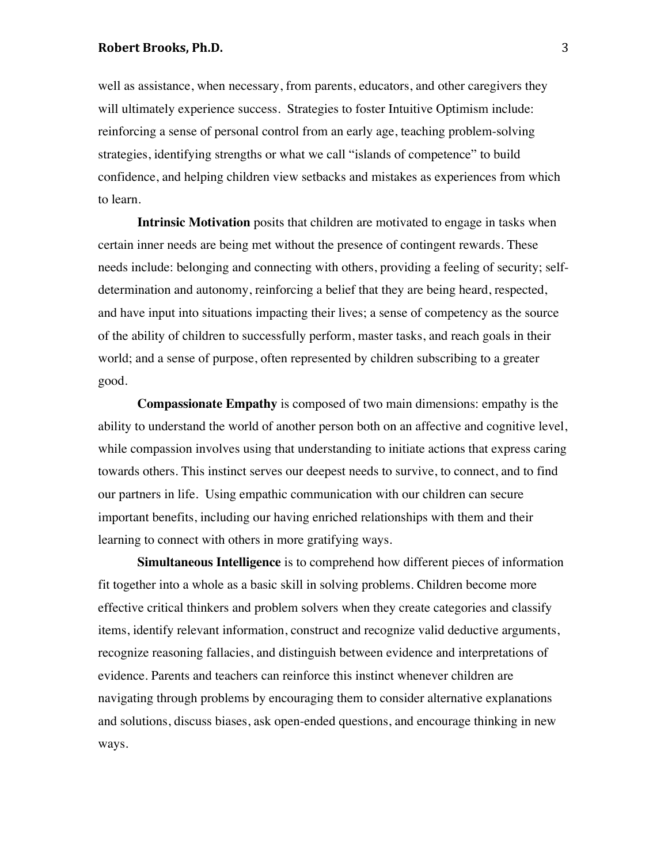### **Robert Brooks, Ph.D.** 3

well as assistance, when necessary, from parents, educators, and other caregivers they will ultimately experience success. Strategies to foster Intuitive Optimism include: reinforcing a sense of personal control from an early age, teaching problem-solving strategies, identifying strengths or what we call "islands of competence" to build confidence, and helping children view setbacks and mistakes as experiences from which to learn.

**Intrinsic Motivation** posits that children are motivated to engage in tasks when certain inner needs are being met without the presence of contingent rewards. These needs include: belonging and connecting with others, providing a feeling of security; selfdetermination and autonomy, reinforcing a belief that they are being heard, respected, and have input into situations impacting their lives; a sense of competency as the source of the ability of children to successfully perform, master tasks, and reach goals in their world; and a sense of purpose, often represented by children subscribing to a greater good.

**Compassionate Empathy** is composed of two main dimensions: empathy is the ability to understand the world of another person both on an affective and cognitive level, while compassion involves using that understanding to initiate actions that express caring towards others. This instinct serves our deepest needs to survive, to connect, and to find our partners in life. Using empathic communication with our children can secure important benefits, including our having enriched relationships with them and their learning to connect with others in more gratifying ways.

**Simultaneous Intelligence** is to comprehend how different pieces of information fit together into a whole as a basic skill in solving problems. Children become more effective critical thinkers and problem solvers when they create categories and classify items, identify relevant information, construct and recognize valid deductive arguments, recognize reasoning fallacies, and distinguish between evidence and interpretations of evidence. Parents and teachers can reinforce this instinct whenever children are navigating through problems by encouraging them to consider alternative explanations and solutions, discuss biases, ask open-ended questions, and encourage thinking in new ways.